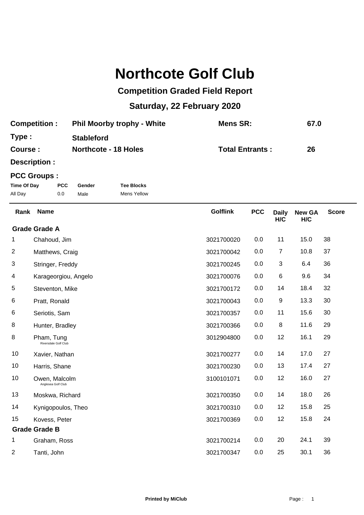## **Northcote Golf Club**

## **Competition Graded Field Report**

## **Saturday, 22 February 2020**

| <b>Competition:</b> | <b>Phil Moorby trophy - White</b> | Mens SR:               | 67.0 |
|---------------------|-----------------------------------|------------------------|------|
| Type:               | <b>Stableford</b>                 |                        |      |
| Course :            | <b>Northcote - 18 Holes</b>       | <b>Total Entrants:</b> | 26   |

**Description :**

## **PCC Groups :**

| Time Of Day | <b>PCC</b> | Gender | <b>Tee Blocks</b> |
|-------------|------------|--------|-------------------|
| All Day     | 0.0        | Male   | Mens Yellow       |

| Rank           | <b>Name</b>                         | <b>Golflink</b> | <b>PCC</b> | <b>Daily</b><br>H/C | <b>New GA</b><br>H/C | <b>Score</b> |
|----------------|-------------------------------------|-----------------|------------|---------------------|----------------------|--------------|
|                | <b>Grade Grade A</b>                |                 |            |                     |                      |              |
| 1              | Chahoud, Jim                        | 3021700020      | 0.0        | 11                  | 15.0                 | 38           |
| 2              | Matthews, Craig                     | 3021700042      | 0.0        | $\overline{7}$      | 10.8                 | 37           |
| 3              | Stringer, Freddy                    | 3021700245      | 0.0        | 3                   | 6.4                  | 36           |
| 4              | Karageorgiou, Angelo                | 3021700076      | 0.0        | 6                   | 9.6                  | 34           |
| 5              | Steventon, Mike                     | 3021700172      | 0.0        | 14                  | 18.4                 | 32           |
| 6              | Pratt, Ronald                       | 3021700043      | 0.0        | 9                   | 13.3                 | 30           |
| 6              | Seriotis, Sam                       | 3021700357      | 0.0        | 11                  | 15.6                 | 30           |
| 8              | Hunter, Bradley                     | 3021700366      | 0.0        | 8                   | 11.6                 | 29           |
| 8              | Pham, Tung<br>Riversdale Golf Club  | 3012904800      | 0.0        | 12                  | 16.1                 | 29           |
| 10             | Xavier, Nathan                      | 3021700277      | 0.0        | 14                  | 17.0                 | 27           |
| 10             | Harris, Shane                       | 3021700230      | 0.0        | 13                  | 17.4                 | 27           |
| 10             | Owen, Malcolm<br>Anglesea Golf Club | 3100101071      | 0.0        | 12                  | 16.0                 | 27           |
| 13             | Moskwa, Richard                     | 3021700350      | 0.0        | 14                  | 18.0                 | 26           |
| 14             | Kynigopoulos, Theo                  | 3021700310      | 0.0        | 12                  | 15.8                 | 25           |
| 15             | Kovess, Peter                       | 3021700369      | 0.0        | 12                  | 15.8                 | 24           |
|                | <b>Grade Grade B</b>                |                 |            |                     |                      |              |
| 1              | Graham, Ross                        | 3021700214      | 0.0        | 20                  | 24.1                 | 39           |
| $\overline{2}$ | Tanti, John                         | 3021700347      | 0.0        | 25                  | 30.1                 | 36           |